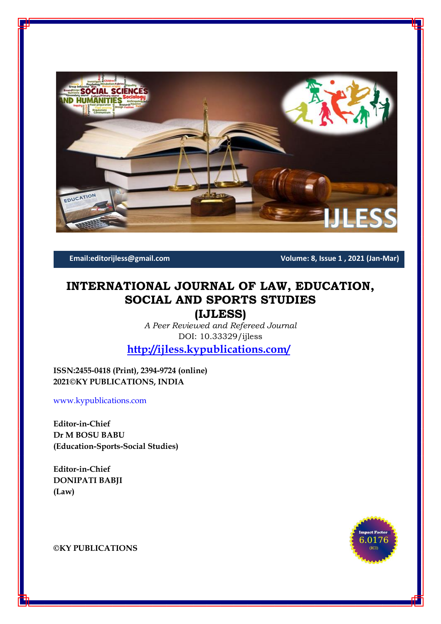

**Email:editorijless@gmail.com Volume: 8, Issue 1 , 2021 (Jan-Mar)**

# **INTERNATIONAL JOURNAL OF LAW, EDUCATION, SOCIAL AND SPORTS STUDIES**

**(IJLESS)**

*A Peer Reviewed and Refereed Journal* DOI: 10.33329/ijless

**<http://ijless.kypublications.com/>**

**ISSN:2455-0418 (Print), 2394-9724 (online) 2021©KY PUBLICATIONS, INDIA**

[www.kypublications.com](http://www.kypublications.com/)

**Editor-in-Chief Dr M BOSU BABU (Education-Sports-Social Studies)**

**Editor-in-Chief DONIPATI BABJI (Law)**



**©KY PUBLICATIONS**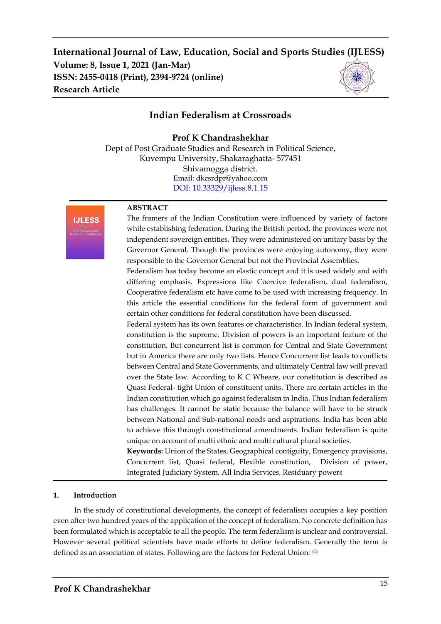# **International Journal of Law, Education, Social and Sports Studies (IJLESS) Volume: 8, Issue 1, 2021 (Jan-Mar) ISSN: 2455-0418 (Print), 2394-9724 (online) Research Article**

# **Indian Federalism at Crossroads**

## **Prof K Chandrashekhar**

Dept of Post Graduate Studies and Research in Political Science, Kuvempu University, Shakaraghatta- 577451 Shivamogga district. Email: dkcsrdpr@yahoo.com [DOI: 10.33329/ijless.8.1.1](http://ijless.kypublications.com/)5



#### **ABSTRACT**

The framers of the Indian Constitution were influenced by variety of factors while establishing federation. During the British period, the provinces were not independent sovereign entities. They were administered on unitary basis by the Governor General. Though the provinces were enjoying autonomy, they were responsible to the Governor General but not the Provincial Assemblies.

Federalism has today become an elastic concept and it is used widely and with differing emphasis. Expressions like Coercive federalism, dual federalism, Cooperative federalism etc have come to be used with increasing frequency. In this article the essential conditions for the federal form of government and certain other conditions for federal constitution have been discussed.

Federal system has its own features or characteristics. In Indian federal system, constitution is the supreme. Division of powers is an important feature of the constitution. But concurrent list is common for Central and State Government but in America there are only two lists. Hence Concurrent list leads to conflicts between Central and State Governments, and ultimately Central law will prevail over the State law. According to K C Wheare, our constitution is described as Quasi Federal- tight Union of constituent units. There are certain articles in the Indian constitution which go against federalism in India. Thus Indian federalism has challenges. It cannot be static because the balance will have to be struck between National and Sub-national needs and aspirations. India has been able to achieve this through constitutional amendments. Indian federalism is quite unique on account of multi ethnic and multi cultural plural societies.

**Keywords:** Union of the States, Geographical contiguity, Emergency provisions, Concurrent list, Quasi federal, Flexible constitution, Division of power, Integrated Judiciary System, All India Services, Residuary powers

#### **1. Introduction**

In the study of constitutional developments, the concept of federalism occupies a key position even after two hundred years of the application of the concept of federalism. No concrete definition has been formulated which is acceptable to all the people. The term federalism is unclear and controversial. However several political scientists have made efforts to define federalism. Generally the term is defined as an association of states. Following are the factors for Federal Union: (1)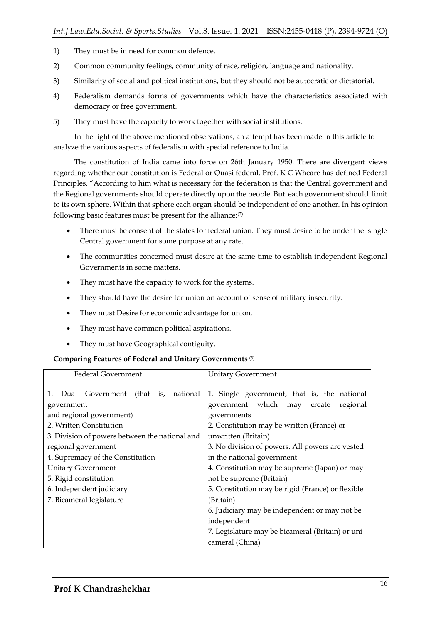- 1) They must be in need for common defence.
- 2) Common community feelings, community of race, religion, language and nationality.
- 3) Similarity of social and political institutions, but they should not be autocratic or dictatorial.
- 4) Federalism demands forms of governments which have the characteristics associated with democracy or free government.
- 5) They must have the capacity to work together with social institutions.

In the light of the above mentioned observations, an attempt has been made in this article to analyze the various aspects of federalism with special reference to India.

The constitution of India came into force on 26th January 1950. There are divergent views regarding whether our constitution is Federal or Quasi federal. Prof. K C Wheare has defined Federal Principles. "According to him what is necessary for the federation is that the Central government and the Regional governments should operate directly upon the people. But each government should limit to its own sphere. Within that sphere each organ should be independent of one another. In his opinion following basic features must be present for the alliance:(2)

- There must be consent of the states for federal union. They must desire to be under the single Central government for some purpose at any rate.
- The communities concerned must desire at the same time to establish independent Regional Governments in some matters.
- They must have the capacity to work for the systems.
- They should have the desire for union on account of sense of military insecurity.
- They must Desire for economic advantage for union.
- They must have common political aspirations.
- They must have Geographical contiguity.

#### **Comparing Features of Federal and Unitary Governments** (3)

| <b>Federal Government</b>                      | <b>Unitary Government</b>                         |
|------------------------------------------------|---------------------------------------------------|
| 1. Dual Government (that is, national          | 1. Single government, that is, the national       |
| government                                     | government which may<br>regional<br>create        |
| and regional government)                       | governments                                       |
| 2. Written Constitution                        | 2. Constitution may be written (France) or        |
| 3. Division of powers between the national and | unwritten (Britain)                               |
| regional government                            | 3. No division of powers. All powers are vested   |
| 4. Supremacy of the Constitution               | in the national government                        |
| <b>Unitary Government</b>                      | 4. Constitution may be supreme (Japan) or may     |
| 5. Rigid constitution                          | not be supreme (Britain)                          |
| 6. Independent judiciary                       | 5. Constitution may be rigid (France) or flexible |
| 7. Bicameral legislature                       | (Britain)                                         |
|                                                | 6. Judiciary may be independent or may not be     |
|                                                | independent                                       |
|                                                | 7. Legislature may be bicameral (Britain) or uni- |
|                                                | cameral (China)                                   |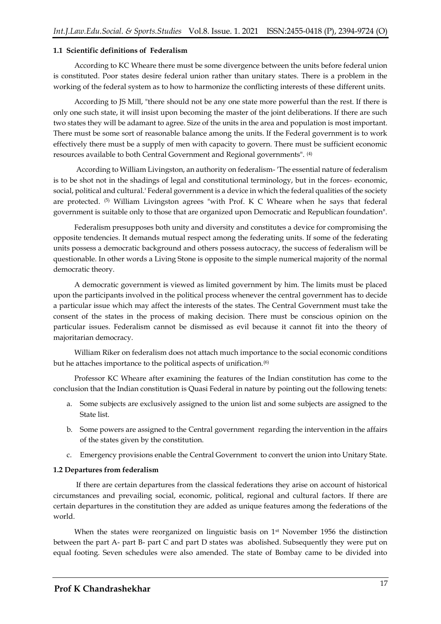#### **1.1 Scientific definitions of Federalism**

According to KC Wheare there must be some divergence between the units before federal union is constituted. Poor states desire federal union rather than unitary states. There is a problem in the working of the federal system as to how to harmonize the conflicting interests of these different units.

According to JS Mill, "there should not be any one state more powerful than the rest. If there is only one such state, it will insist upon becoming the master of the joint deliberations. If there are such two states they will be adamant to agree. Size of the units in the area and population is most important. There must be some sort of reasonable balance among the units. If the Federal government is to work effectively there must be a supply of men with capacity to govern. There must be sufficient economic resources available to both Central Government and Regional governments". (4)

According to William Livingston, an authority on federalism- 'The essential nature of federalism is to be shot not in the shadings of legal and constitutional terminology, but in the forces- economic, social, political and cultural.' Federal government is a device in which the federal qualities of the society are protected.  $(5)$  William Livingston agrees "with Prof. K C Wheare when he says that federal government is suitable only to those that are organized upon Democratic and Republican foundation".

Federalism presupposes both unity and diversity and constitutes a device for compromising the opposite tendencies. It demands mutual respect among the federating units. If some of the federating units possess a democratic background and others possess autocracy, the success of federalism will be questionable. In other words a Living Stone is opposite to the simple numerical majority of the normal democratic theory.

A democratic government is viewed as limited government by him. The limits must be placed upon the participants involved in the political process whenever the central government has to decide a particular issue which may affect the interests of the states. The Central Government must take the consent of the states in the process of making decision. There must be conscious opinion on the particular issues. Federalism cannot be dismissed as evil because it cannot fit into the theory of majoritarian democracy.

William Riker on federalism does not attach much importance to the social economic conditions but he attaches importance to the political aspects of unification.(6)

Professor KC Wheare after examining the features of the Indian constitution has come to the conclusion that the Indian constitution is Quasi Federal in nature by pointing out the following tenets:

- a. Some subjects are exclusively assigned to the union list and some subjects are assigned to the State list.
- b. Some powers are assigned to the Central government regarding the intervention in the affairs of the states given by the constitution.
- c. Emergency provisions enable the Central Government to convert the union into Unitary State.

#### **1.2 Departures from federalism**

If there are certain departures from the classical federations they arise on account of historical circumstances and prevailing social, economic, political, regional and cultural factors. If there are certain departures in the constitution they are added as unique features among the federations of the world.

When the states were reorganized on linguistic basis on 1<sup>st</sup> November 1956 the distinction between the part A- part B- part C and part D states was abolished. Subsequently they were put on equal footing. Seven schedules were also amended. The state of Bombay came to be divided into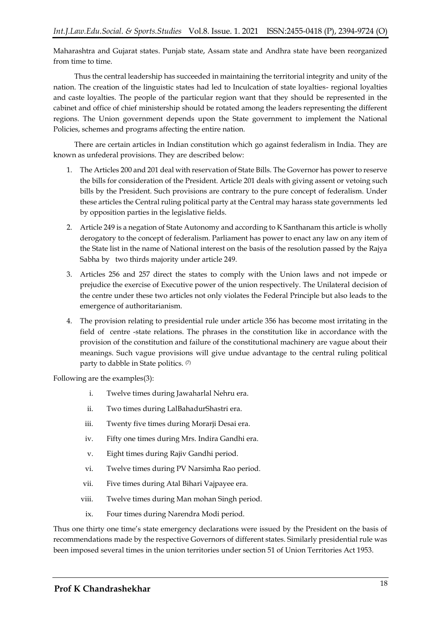Maharashtra and Gujarat states. Punjab state, Assam state and Andhra state have been reorganized from time to time.

Thus the central leadership has succeeded in maintaining the territorial integrity and unity of the nation. The creation of the linguistic states had led to Inculcation of state loyalties- regional loyalties and caste loyalties. The people of the particular region want that they should be represented in the cabinet and office of chief ministership should be rotated among the leaders representing the different regions. The Union government depends upon the State government to implement the National Policies, schemes and programs affecting the entire nation.

There are certain articles in Indian constitution which go against federalism in India. They are known as unfederal provisions. They are described below:

- 1. The Articles 200 and 201 deal with reservation of State Bills. The Governor has power to reserve the bills for consideration of the President. Article 201 deals with giving assent or vetoing such bills by the President. Such provisions are contrary to the pure concept of federalism. Under these articles the Central ruling political party at the Central may harass state governments led by opposition parties in the legislative fields.
- 2. Article 249 is a negation of State Autonomy and according to K Santhanam this article is wholly derogatory to the concept of federalism. Parliament has power to enact any law on any item of the State list in the name of National interest on the basis of the resolution passed by the Rajya Sabha by two thirds majority under article 249.
- 3. Articles 256 and 257 direct the states to comply with the Union laws and not impede or prejudice the exercise of Executive power of the union respectively. The Unilateral decision of the centre under these two articles not only violates the Federal Principle but also leads to the emergence of authoritarianism.
- 4. The provision relating to presidential rule under article 356 has become most irritating in the field of centre -state relations. The phrases in the constitution like in accordance with the provision of the constitution and failure of the constitutional machinery are vague about their meanings. Such vague provisions will give undue advantage to the central ruling political party to dabble in State politics. (7)

Following are the examples(3):

- i. Twelve times during Jawaharlal Nehru era.
- ii. Two times during LalBahadurShastri era.
- iii. Twenty five times during Morarji Desai era.
- iv. Fifty one times during Mrs. Indira Gandhi era.
- v. Eight times during Rajiv Gandhi period.
- vi. Twelve times during PV Narsimha Rao period.
- vii. Five times during Atal Bihari Vajpayee era.
- viii. Twelve times during Man mohan Singh period.
- ix. Four times during Narendra Modi period.

Thus one thirty one time's state emergency declarations were issued by the President on the basis of recommendations made by the respective Governors of different states. Similarly presidential rule was been imposed several times in the union territories under section 51 of Union Territories Act 1953.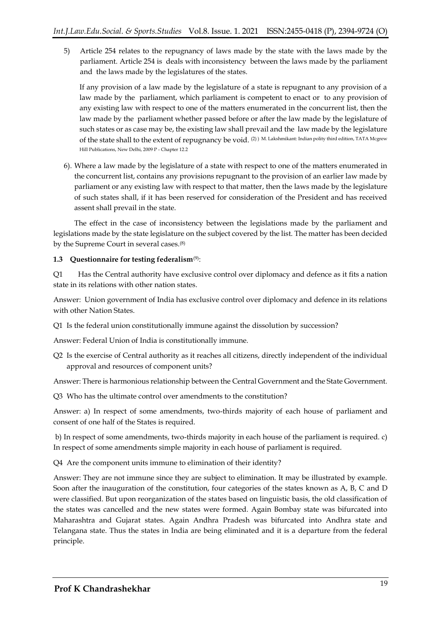5) Article 254 relates to the repugnancy of laws made by the state with the laws made by the parliament. Article 254 is deals with inconsistency between the laws made by the parliament and the laws made by the legislatures of the states.

If any provision of a law made by the legislature of a state is repugnant to any provision of a law made by the parliament, which parliament is competent to enact or to any provision of any existing law with respect to one of the matters enumerated in the concurrent list, then the law made by the parliament whether passed before or after the law made by the legislature of such states or as case may be, the existing law shall prevail and the law made by the legislature of the state shall to the extent of repugnancy be void. (2) ) M. Lakshmikant: Indian polity third edition, TATA Mcgrew Hill Publications, New Delhi, 2009 P - Chapter 12.2

6). Where a law made by the legislature of a state with respect to one of the matters enumerated in the concurrent list, contains any provisions repugnant to the provision of an earlier law made by parliament or any existing law with respect to that matter, then the laws made by the legislature of such states shall, if it has been reserved for consideration of the President and has received assent shall prevail in the state.

The effect in the case of inconsistency between the legislations made by the parliament and legislations made by the state legislature on the subject covered by the list. The matter has been decided by the Supreme Court in several cases.(8)

### **1.3 Questionnaire for testing federalism**(9):

Q1 Has the Central authority have exclusive control over diplomacy and defence as it fits a nation state in its relations with other nation states.

Answer: Union government of India has exclusive control over diplomacy and defence in its relations with other Nation States.

Q1 Is the federal union constitutionally immune against the dissolution by succession?

Answer: Federal Union of India is constitutionally immune.

Q2 Is the exercise of Central authority as it reaches all citizens, directly independent of the individual approval and resources of component units?

Answer: There is harmonious relationship between the Central Government and the State Government.

Q3 Who has the ultimate control over amendments to the constitution?

Answer: a) In respect of some amendments, two-thirds majority of each house of parliament and consent of one half of the States is required.

b) In respect of some amendments, two-thirds majority in each house of the parliament is required. c) In respect of some amendments simple majority in each house of parliament is required.

Q4 Are the component units immune to elimination of their identity?

Answer: They are not immune since they are subject to elimination. It may be illustrated by example. Soon after the inauguration of the constitution, four categories of the states known as A, B, C and D were classified. But upon reorganization of the states based on linguistic basis, the old classification of the states was cancelled and the new states were formed. Again Bombay state was bifurcated into Maharashtra and Gujarat states. Again Andhra Pradesh was bifurcated into Andhra state and Telangana state. Thus the states in India are being eliminated and it is a departure from the federal principle.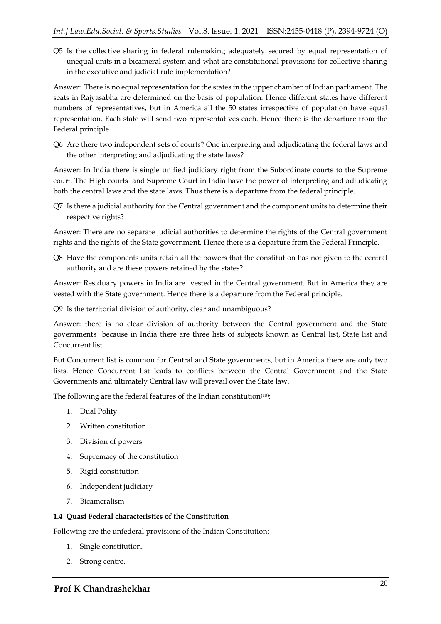Q5 Is the collective sharing in federal rulemaking adequately secured by equal representation of unequal units in a bicameral system and what are constitutional provisions for collective sharing in the executive and judicial rule implementation?

Answer: There is no equal representation for the states in the upper chamber of Indian parliament. The seats in Rajyasabha are determined on the basis of population. Hence different states have different numbers of representatives, but in America all the 50 states irrespective of population have equal representation. Each state will send two representatives each. Hence there is the departure from the Federal principle.

Q6 Are there two independent sets of courts? One interpreting and adjudicating the federal laws and the other interpreting and adjudicating the state laws?

Answer: In India there is single unified judiciary right from the Subordinate courts to the Supreme court. The High courts and Supreme Court in India have the power of interpreting and adjudicating both the central laws and the state laws. Thus there is a departure from the federal principle.

Q7 Is there a judicial authority for the Central government and the component units to determine their respective rights?

Answer: There are no separate judicial authorities to determine the rights of the Central government rights and the rights of the State government. Hence there is a departure from the Federal Principle.

Q8 Have the components units retain all the powers that the constitution has not given to the central authority and are these powers retained by the states?

Answer: Residuary powers in India are vested in the Central government. But in America they are vested with the State government. Hence there is a departure from the Federal principle.

Q9 Is the territorial division of authority, clear and unambiguous?

Answer: there is no clear division of authority between the Central government and the State governments because in India there are three lists of subjects known as Central list, State list and Concurrent list.

But Concurrent list is common for Central and State governments, but in America there are only two lists. Hence Concurrent list leads to conflicts between the Central Government and the State Governments and ultimately Central law will prevail over the State law.

The following are the federal features of the Indian constitution<sup>(10)</sup>:

- 1. Dual Polity
- 2. Written constitution
- 3. Division of powers
- 4. Supremacy of the constitution
- 5. Rigid constitution
- 6. Independent judiciary
- 7. Bicameralism

### **1.4 Quasi Federal characteristics of the Constitution**

Following are the unfederal provisions of the Indian Constitution:

- 1. Single constitution.
- 2. Strong centre.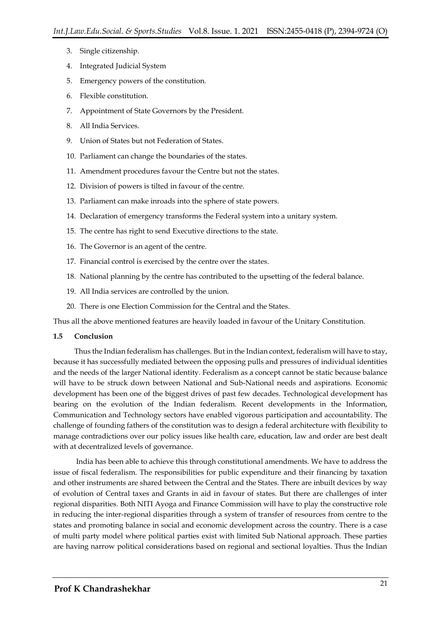- 3. Single citizenship.
- 4. Integrated Judicial System
- 5. Emergency powers of the constitution.
- 6. Flexible constitution.
- 7. Appointment of State Governors by the President.
- 8. All India Services.
- 9. Union of States but not Federation of States.
- 10. Parliament can change the boundaries of the states.
- 11. Amendment procedures favour the Centre but not the states.
- 12. Division of powers is tilted in favour of the centre.
- 13. Parliament can make inroads into the sphere of state powers.
- 14. Declaration of emergency transforms the Federal system into a unitary system.
- 15. The centre has right to send Executive directions to the state.
- 16. The Governor is an agent of the centre.
- 17. Financial control is exercised by the centre over the states.
- 18. National planning by the centre has contributed to the upsetting of the federal balance.
- 19. All India services are controlled by the union.
- 20. There is one Election Commission for the Central and the States.

Thus all the above mentioned features are heavily loaded in favour of the Unitary Constitution.

#### **1.5 Conclusion**

Thus the Indian federalism has challenges. But in the Indian context, federalism will have to stay, because it has successfully mediated between the opposing pulls and pressures of individual identities and the needs of the larger National identity. Federalism as a concept cannot be static because balance will have to be struck down between National and Sub-National needs and aspirations. Economic development has been one of the biggest drives of past few decades. Technological development has bearing on the evolution of the Indian federalism. Recent developments in the Information, Communication and Technology sectors have enabled vigorous participation and accountability. The challenge of founding fathers of the constitution was to design a federal architecture with flexibility to manage contradictions over our policy issues like health care, education, law and order are best dealt with at decentralized levels of governance.

India has been able to achieve this through constitutional amendments. We have to address the issue of fiscal federalism. The responsibilities for public expenditure and their financing by taxation and other instruments are shared between the Central and the States. There are inbuilt devices by way of evolution of Central taxes and Grants in aid in favour of states. But there are challenges of inter regional disparities. Both NITI Ayoga and Finance Commission will have to play the constructive role in reducing the inter-regional disparities through a system of transfer of resources from centre to the states and promoting balance in social and economic development across the country. There is a case of multi party model where political parties exist with limited Sub National approach. These parties are having narrow political considerations based on regional and sectional loyalties. Thus the Indian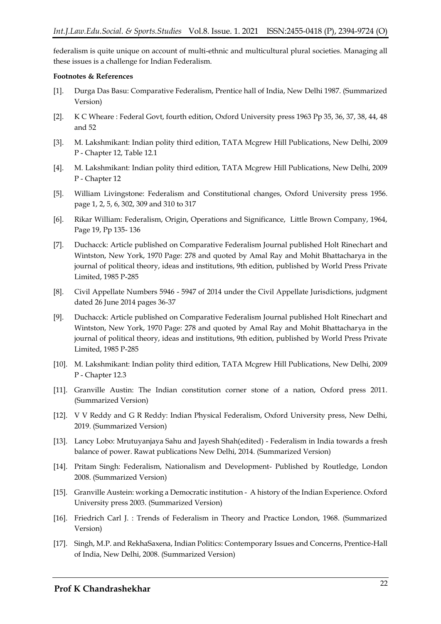federalism is quite unique on account of multi-ethnic and multicultural plural societies. Managing all these issues is a challenge for Indian Federalism.

#### **Footnotes & References**

- [1]. Durga Das Basu: Comparative Federalism, Prentice hall of India, New Delhi 1987. (Summarized Version)
- [2]. K C Wheare : Federal Govt, fourth edition, Oxford University press 1963 Pp 35, 36, 37, 38, 44, 48 and 52
- [3]. M. Lakshmikant: Indian polity third edition, TATA Mcgrew Hill Publications, New Delhi, 2009 P - Chapter 12, Table 12.1
- [4]. M. Lakshmikant: Indian polity third edition, TATA Mcgrew Hill Publications, New Delhi, 2009 P - Chapter 12
- [5]. William Livingstone: Federalism and Constitutional changes, Oxford University press 1956. page 1, 2, 5, 6, 302, 309 and 310 to 317
- [6]. Rikar William: Federalism, Origin, Operations and Significance, Little Brown Company, 1964, Page 19, Pp 135- 136
- [7]. Duchacck: Article published on Comparative Federalism Journal published Holt Rinechart and Wintston, New York, 1970 Page: 278 and quoted by Amal Ray and Mohit Bhattacharya in the journal of political theory, ideas and institutions, 9th edition, published by World Press Private Limited, 1985 P-285
- [8]. Civil Appellate Numbers 5946 5947 of 2014 under the Civil Appellate Jurisdictions, judgment dated 26 June 2014 pages 36-37
- [9]. Duchacck: Article published on Comparative Federalism Journal published Holt Rinechart and Wintston, New York, 1970 Page: 278 and quoted by Amal Ray and Mohit Bhattacharya in the journal of political theory, ideas and institutions, 9th edition, published by World Press Private Limited, 1985 P-285
- [10]. M. Lakshmikant: Indian polity third edition, TATA Mcgrew Hill Publications, New Delhi, 2009 P - Chapter 12.3
- [11]. Granville Austin: The Indian constitution corner stone of a nation, Oxford press 2011. (Summarized Version)
- [12]. V V Reddy and G R Reddy: Indian Physical Federalism, Oxford University press, New Delhi, 2019. (Summarized Version)
- [13]. Lancy Lobo: Mrutuyanjaya Sahu and Jayesh Shah(edited) Federalism in India towards a fresh balance of power. Rawat publications New Delhi, 2014. (Summarized Version)
- [14]. Pritam Singh: Federalism, Nationalism and Development- Published by Routledge, London 2008. (Summarized Version)
- [15]. Granville Austein: working a Democratic institution A history of the Indian Experience. Oxford University press 2003. (Summarized Version)
- [16]. Friedrich Carl J. : Trends of Federalism in Theory and Practice London, 1968. (Summarized Version)
- [17]. Singh, M.P. and RekhaSaxena, Indian Politics: Contemporary Issues and Concerns, Prentice-Hall of India, New Delhi, 2008. (Summarized Version)